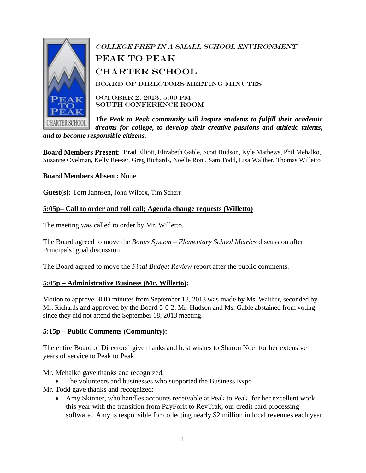

College Prep in a Small School Environment PEAK TO PEAK Charter School Board of Directors Meeting Minutes October 2, 2013, 5:00 PM South Conference Room

*The Peak to Peak community will inspire students to fulfill their academic dreams for college, to develop their creative passions and athletic talents, and to become responsible citizens.*

**Board Members Present**: Brad Elliott, Elizabeth Gable, Scott Hudson, Kyle Mathews, Phil Mehalko, Suzanne Ovelman, Kelly Reeser, Greg Richards, Noelle Roni, Sam Todd, Lisa Walther, Thomas Willetto

#### **Board Members Absent:** None

**Guest(s):** Tom Jannsen, John Wilcox, Tim Scherr

#### **5:05p– Call to order and roll call; Agenda change requests (Willetto)**

The meeting was called to order by Mr. Willetto.

The Board agreed to move the *Bonus System – Elementary School Metrics* discussion after Principals' goal discussion.

The Board agreed to move the *Final Budget Review* report after the public comments.

#### **5:05p – Administrative Business (Mr. Willetto):**

Motion to approve BOD minutes from September 18, 2013 was made by Ms. Walther, seconded by Mr. Richards and approved by the Board 5-0-2. Mr. Hudson and Ms. Gable abstained from voting since they did not attend the September 18, 2013 meeting.

#### **5:15p – Public Comments (Community):**

The entire Board of Directors' give thanks and best wishes to Sharon Noel for her extensive years of service to Peak to Peak.

Mr. Mehalko gave thanks and recognized:

• The volunteers and businesses who supported the Business Expo

Mr. Todd gave thanks and recognized:

• Amy Skinner, who handles accounts receivable at Peak to Peak, for her excellent work this year with the transition from PayForIt to RevTrak, our credit card processing software. Amy is responsible for collecting nearly \$2 million in local revenues each year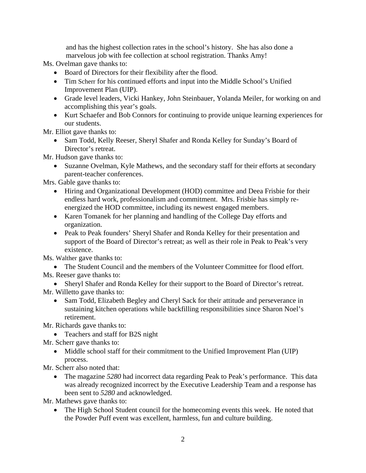and has the highest collection rates in the school's history. She has also done a marvelous job with fee collection at school registration. Thanks Amy!

Ms. Ovelman gave thanks to:

- Board of Directors for their flexibility after the flood.
- Tim Scherr for his continued efforts and input into the Middle School's Unified Improvement Plan (UIP).
- Grade level leaders, Vicki Hankey, John Steinbauer, Yolanda Meiler, for working on and accomplishing this year's goals.
- Kurt Schaefer and Bob Connors for continuing to provide unique learning experiences for our students.

Mr. Elliot gave thanks to:

• Sam Todd, Kelly Reeser, Sheryl Shafer and Ronda Kelley for Sunday's Board of Director's retreat.

Mr. Hudson gave thanks to:

• Suzanne Ovelman, Kyle Mathews, and the secondary staff for their efforts at secondary parent-teacher conferences.

Mrs. Gable gave thanks to:

- Hiring and Organizational Development (HOD) committee and Deea Frisbie for their endless hard work, professionalism and commitment. Mrs. Frisbie has simply reenergized the HOD committee, including its newest engaged members.
- Karen Tomanek for her planning and handling of the College Day efforts and organization.
- Peak to Peak founders' Sheryl Shafer and Ronda Kelley for their presentation and support of the Board of Director's retreat; as well as their role in Peak to Peak's very existence.

Ms. Walther gave thanks to:

• The Student Council and the members of the Volunteer Committee for flood effort. Ms. Reeser gave thanks to:

- Sheryl Shafer and Ronda Kelley for their support to the Board of Director's retreat.
- Mr. Willetto gave thanks to:
	- Sam Todd, Elizabeth Begley and Cheryl Sack for their attitude and perseverance in sustaining kitchen operations while backfilling responsibilities since Sharon Noel's retirement.

Mr. Richards gave thanks to:

- Teachers and staff for B2S night
- Mr. Scherr gave thanks to:
	- Middle school staff for their commitment to the Unified Improvement Plan (UIP) process.

Mr. Scherr also noted that:

• The magazine 5280 had incorrect data regarding Peak to Peak's performance. This data was already recognized incorrect by the Executive Leadership Team and a response has been sent to *5280* and acknowledged.

Mr. Mathews gave thanks to:

• The High School Student council for the homecoming events this week. He noted that the Powder Puff event was excellent, harmless, fun and culture building.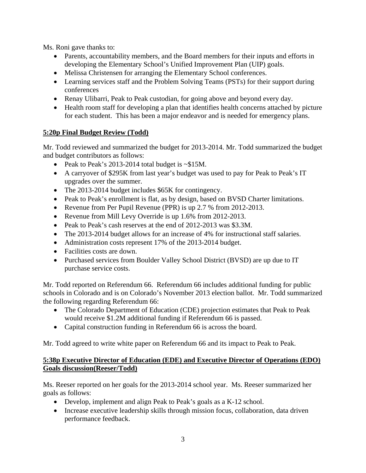Ms. Roni gave thanks to:

- Parents, accountability members, and the Board members for their inputs and efforts in developing the Elementary School's Unified Improvement Plan (UIP) goals.
- Melissa Christensen for arranging the Elementary School conferences.
- Learning services staff and the Problem Solving Teams (PSTs) for their support during conferences
- Renay Ulibarri, Peak to Peak custodian, for going above and beyond every day.
- Health room staff for developing a plan that identifies health concerns attached by picture for each student. This has been a major endeavor and is needed for emergency plans.

## **5:20p Final Budget Review (Todd)**

Mr. Todd reviewed and summarized the budget for 2013-2014. Mr. Todd summarized the budget and budget contributors as follows:

- Peak to Peak's 2013-2014 total budget is ~\$15M.
- A carryover of \$295K from last year's budget was used to pay for Peak to Peak's IT upgrades over the summer.
- The 2013-2014 budget includes \$65K for contingency.
- Peak to Peak's enrollment is flat, as by design, based on BVSD Charter limitations.
- Revenue from Per Pupil Revenue (PPR) is up 2.7 % from 2012-2013.
- Revenue from Mill Levy Override is up 1.6% from 2012-2013.
- Peak to Peak's cash reserves at the end of 2012-2013 was \$3.3M.
- The 2013-2014 budget allows for an increase of 4% for instructional staff salaries.
- Administration costs represent 17% of the 2013-2014 budget.
- Facilities costs are down.
- Purchased services from Boulder Valley School District (BVSD) are up due to IT purchase service costs.

Mr. Todd reported on Referendum 66. Referendum 66 includes additional funding for public schools in Colorado and is on Colorado's November 2013 election ballot. Mr. Todd summarized the following regarding Referendum 66:

- The Colorado Department of Education (CDE) projection estimates that Peak to Peak would receive \$1.2M additional funding if Referendum 66 is passed.
- Capital construction funding in Referendum 66 is across the board.

Mr. Todd agreed to write white paper on Referendum 66 and its impact to Peak to Peak.

## **5:38p Executive Director of Education (EDE) and Executive Director of Operations (EDO) Goals discussion(Reeser/Todd)**

Ms. Reeser reported on her goals for the 2013-2014 school year. Ms. Reeser summarized her goals as follows:

- Develop, implement and align Peak to Peak's goals as a K-12 school.
- Increase executive leadership skills through mission focus, collaboration, data driven performance feedback.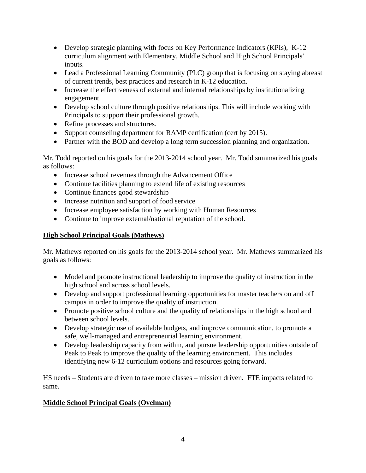- Develop strategic planning with focus on Key Performance Indicators (KPIs), K-12 curriculum alignment with Elementary, Middle School and High School Principals' inputs.
- Lead a Professional Learning Community (PLC) group that is focusing on staying abreast of current trends, best practices and research in K-12 education.
- Increase the effectiveness of external and internal relationships by institutionalizing engagement.
- Develop school culture through positive relationships. This will include working with Principals to support their professional growth.
- Refine processes and structures.
- Support counseling department for RAMP certification (cert by 2015).
- Partner with the BOD and develop a long term succession planning and organization.

Mr. Todd reported on his goals for the 2013-2014 school year. Mr. Todd summarized his goals as follows:

- Increase school revenues through the Advancement Office
- Continue facilities planning to extend life of existing resources
- Continue finances good stewardship
- Increase nutrition and support of food service
- Increase employee satisfaction by working with Human Resources
- Continue to improve external/national reputation of the school.

# **High School Principal Goals (Mathews)**

Mr. Mathews reported on his goals for the 2013-2014 school year. Mr. Mathews summarized his goals as follows:

- Model and promote instructional leadership to improve the quality of instruction in the high school and across school levels.
- Develop and support professional learning opportunities for master teachers on and off campus in order to improve the quality of instruction.
- Promote positive school culture and the quality of relationships in the high school and between school levels.
- Develop strategic use of available budgets, and improve communication, to promote a safe, well-managed and entrepreneurial learning environment.
- Develop leadership capacity from within, and pursue leadership opportunities outside of Peak to Peak to improve the quality of the learning environment. This includes identifying new 6-12 curriculum options and resources going forward.

HS needs – Students are driven to take more classes – mission driven. FTE impacts related to same.

# **Middle School Principal Goals (Ovelman)**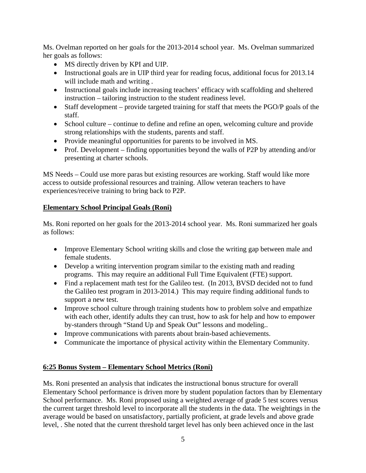Ms. Ovelman reported on her goals for the 2013-2014 school year. Ms. Ovelman summarized her goals as follows:

- MS directly driven by KPI and UIP.
- Instructional goals are in UIP third year for reading focus, additional focus for 2013.14 will include math and writing .
- Instructional goals include increasing teachers' efficacy with scaffolding and sheltered instruction – tailoring instruction to the student readiness level.
- Staff development provide targeted training for staff that meets the PGO/P goals of the staff.
- School culture continue to define and refine an open, welcoming culture and provide strong relationships with the students, parents and staff.
- Provide meaningful opportunities for parents to be involved in MS.
- Prof. Development finding opportunities beyond the walls of P2P by attending and/or presenting at charter schools.

MS Needs – Could use more paras but existing resources are working. Staff would like more access to outside professional resources and training. Allow veteran teachers to have experiences/receive training to bring back to P2P.

## **Elementary School Principal Goals (Roni)**

Ms. Roni reported on her goals for the 2013-2014 school year. Ms. Roni summarized her goals as follows:

- Improve Elementary School writing skills and close the writing gap between male and female students.
- Develop a writing intervention program similar to the existing math and reading programs. This may require an additional Full Time Equivalent (FTE) support.
- Find a replacement math test for the Galileo test. (In 2013, BVSD decided not to fund the Galileo test program in 2013-2014.) This may require finding additional funds to support a new test.
- Improve school culture through training students how to problem solve and empathize with each other, identify adults they can trust, how to ask for help and how to empower by-standers through "Stand Up and Speak Out" lessons and modeling..
- Improve communications with parents about brain-based achievements.
- Communicate the importance of physical activity within the Elementary Community.

# **6:25 Bonus System – Elementary School Metrics (Roni)**

Ms. Roni presented an analysis that indicates the instructional bonus structure for overall Elementary School performance is driven more by student population factors than by Elementary School performance. Ms. Roni proposed using a weighted average of grade 5 test scores versus the current target threshold level to incorporate all the students in the data. The weightings in the average would be based on unsatisfactory, partially proficient, at grade levels and above grade level, . She noted that the current threshold target level has only been achieved once in the last